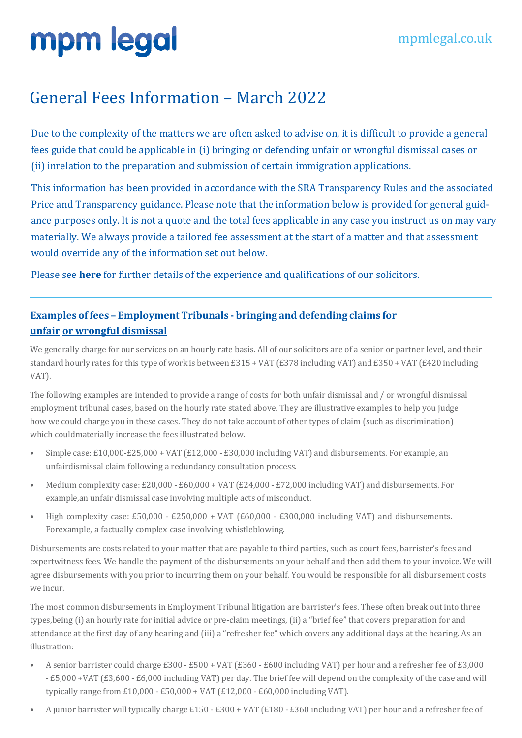### General Fees Information - March 2022

Due to the complexity of the matters we are often asked to advise on, it is difficult to provide a general fees guide that could be applicable in (i) bringing or defending unfair or wrongful dismissal cases or (ii) inrelation to the preparation and submission of certain immigration applications.

This information has been provided in accordance with the SRA Transparency Rules and the associated Price and Transparency guidance. Please note that the information below is provided for general guidance purposes only. It is not a quote and the total fees applicable in any case you instruct us on may vary materially. We always provide a tailored fee assessment at the start of a matter and that assessment would override any of the information set out below.

Please see **here** for further details of the experience and qualifications of our solicitors.

### **Examples of fees – Employment Tribunals - bringing and defending claims for unfair or wrongful dismissal**

We generally charge for our services on an hourly rate basis. All of our solicitors are of a senior or partner level, and their standard hourly rates for this type of work is between £315 + VAT (£378 including VAT) and £350 + VAT (£420 including VAT).

The following examples are intended to provide a range of costs for both unfair dismissal and / or wrongful dismissal employment tribunal cases, based on the hourly rate stated above. They are illustrative examples to help you judge how we could charge you in these cases. They do not take account of other types of claim (such as discrimination) which couldmaterially increase the fees illustrated below.

- Simple case: £10,000-£25,000 + VAT (£12,000 £30,000 including VAT) and disbursements. For example, an unfairdismissal claim following a redundancy consultation process.
- Medium complexity case: £20,000 £60,000 + VAT (£24,000 £72,000 including VAT) and disbursements. For example, an unfair dismissal case involving multiple acts of misconduct.
- High complexity case: £50,000 £250,000 + VAT  $(E60,000 E300,000)$  including VAT) and disbursements. Forexample, a factually complex case involving whistleblowing.

Disbursements are costs related to your matter that are payable to third parties, such as court fees, barrister's fees and expertwitness fees. We handle the payment of the disbursements on your behalf and then add them to your invoice. We will agree disbursements with you prior to incurring them on your behalf. You would be responsible for all disbursement costs we incur.

The most common disbursements in Employment Tribunal litigation are barrister's fees. These often break out into three types,being (i) an hourly rate for initial advice or pre-claim meetings, (ii) a "brief fee" that covers preparation for and attendance at the first day of any hearing and (iii) a "refresher fee" which covers any additional days at the hearing. As an illustration:

- A senior barrister could charge £300 £500 + VAT (£360 £600 including VAT) per hour and a refresher fee of £3,000 - £5,000 +VAT (£3,600 - £6,000 including VAT) per day. The brief fee will depend on the complexity of the case and will typically range from £10,000 - £50,000 + VAT (£12,000 - £60,000 including VAT).
- A junior barrister will typically charge £150 £300 + VAT (£180 £360 including VAT) per hour and a refresher fee of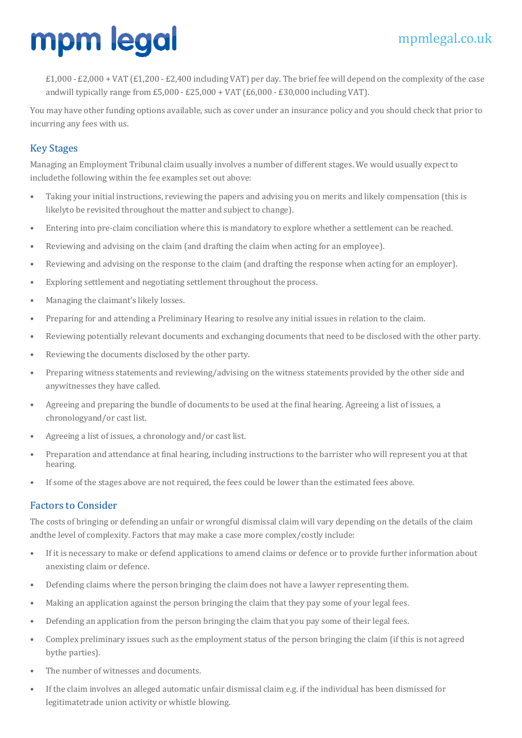£1,000 - £2,000 + VAT (£1,200 - £2,400 including VAT) per day. The brief fee will depend on the complexity of the case andwill typically range from  $E5,000 - E25,000 + VAT$  (£6,000 - £30,000 including VAT).

You may have other funding options available, such as cover under an insurance policy and you should check that prior to incurring any fees with us.

#### Key Stages

Managing an Employment Tribunal claim usually involves a number of different stages. We would usually expect to includethe following within the fee examples set out above:

- Taking your initial instructions, reviewing the papers and advising you on merits and likely compensation (this is likelyto be revisited throughout the matter and subject to change).
- Entering into pre-claim conciliation where this is mandatory to explore whether a settlement can be reached.
- Reviewing and advising on the claim (and drafting the claim when acting for an employee).
- Reviewing and advising on the response to the claim (and drafting the response when acting for an employer).
- Exploring settlement and negotiating settlement throughout the process.
- Managing the claimant's likely losses.
- Preparing for and attending a Preliminary Hearing to resolve any initial issues in relation to the claim.
- Reviewing potentially relevant documents and exchanging documents that need to be disclosed with the other party.
- Reviewing the documents disclosed by the other party.
- Preparing witness statements and reviewing/advising on the witness statements provided by the other side and anywitnesses they have called.
- Agreeing and preparing the bundle of documents to be used at the final hearing. Agreeing a list of issues, a chronologyand/or cast list.
- Agreeing a list of issues, a chronology and/or cast list.
- Preparation and attendance at final hearing, including instructions to the barrister who will represent you at that hearing.
- If some of the stages above are not required, the fees could be lower than the estimated fees above.

#### **Factors to Consider**

The costs of bringing or defending an unfair or wrongful dismissal claim will vary depending on the details of the claim andthe level of complexity. Factors that may make a case more complex/costly include:

- If it is necessary to make or defend applications to amend claims or defence or to provide further information about anexisting claim or defence.
- Defending claims where the person bringing the claim does not have a lawyer representing them.
- Making an application against the person bringing the claim that they pay some of your legal fees.
- Defending an application from the person bringing the claim that you pay some of their legal fees.
- Complex preliminary issues such as the employment status of the person bringing the claim (if this is not agreed bythe parties).
- The number of witnesses and documents.
- If the claim involves an alleged automatic unfair dismissal claim e.g. if the individual has been dismissed for legitimatetrade union activity or whistle blowing.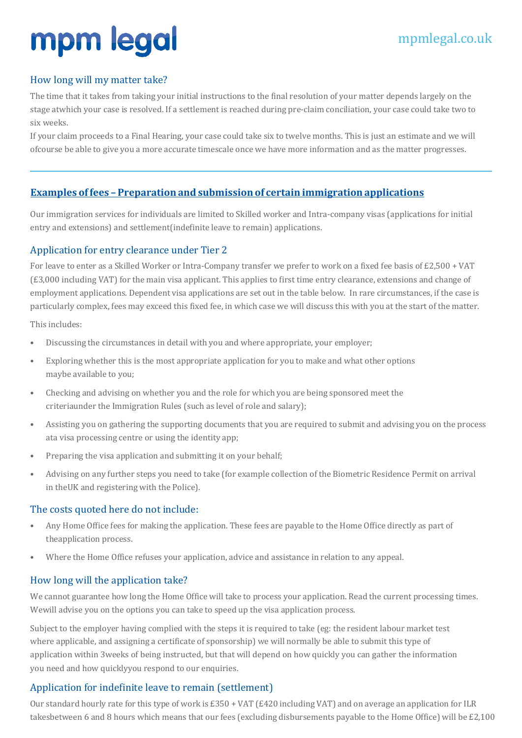#### How long will my matter take?

The time that it takes from taking your initial instructions to the final resolution of your matter depends largely on the stage atwhich your case is resolved. If a settlement is reached during pre-claim conciliation, your case could take two to six weeks.

If your claim proceeds to a Final Hearing, your case could take six to twelve months. This is just an estimate and we will of course be able to give you a more accurate timescale once we have more information and as the matter progresses.

#### **Examples offees – Preparation and submission of certain immigration applications**

Our immigration services for individuals are limited to Skilled worker and Intra-company visas (applications for initial entry and extensions) and settlement (indefinite leave to remain) applications.

#### Application for entry clearance under Tier 2

For leave to enter as a Skilled Worker or Intra-Company transfer we prefer to work on a fixed fee basis of  $E2,500 + VAT$ (£3,000 including VAT) for the main visa applicant. This applies to first time entry clearance, extensions and change of employment applications. Dependent visa applications are set out in the table below. In rare circumstances, if the case is particularly complex, fees may exceed this fixed fee, in which case we will discuss this with you at the start of the matter.

This includes:

- Discussing the circumstances in detail with you and where appropriate, your employer;
- Exploring whether this is the most appropriate application for you to make and what other options maybe available to you;
- Checking and advising on whether you and the role for which you are being sponsored meet the criteriaunder the Immigration Rules (such as level of role and salary);
- Assisting you on gathering the supporting documents that you are required to submit and advising you on the process ata visa processing centre or using the identity app;
- Preparing the visa application and submitting it on your behalf;
- Advising on any further steps you need to take (for example collection of the Biometric Residence Permit on arrival in theUK and registering with the Police).

#### The costs quoted here do not include:

- Any Home Office fees for making the application. These fees are payable to the Home Office directly as part of theapplication process.
- Where the Home Office refuses your application, advice and assistance in relation to any appeal.

#### How long will the application take?

We cannot guarantee how long the Home Office will take to process your application. Read the current processing times. Wewill advise you on the options you can take to speed up the visa application process.

Subject to the employer having complied with the steps it is required to take (eg: the resident labour market test where applicable, and assigning a certificate of sponsorship) we will normally be able to submit this type of application within 3weeks of being instructed, but that will depend on how quickly you can gather the information you need and how quicklyyou respond to our enquiries.

#### Application for indefinite leave to remain (settlement)

Our standard hourly rate for this type of work is £350 + VAT (£420 including VAT) and on average an application for ILR takesbetween 6 and 8 hours which means that our fees (excluding disbursements payable to the Home Office) will be £2,100